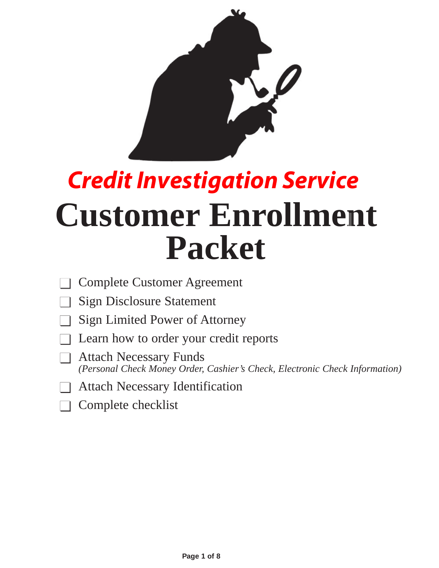

# **Customer Enrollment Packet** *Credit Investigation Service*

- Complete Customer Agreement
- **Sign Disclosure Statement**
- **Sign Limited Power of Attorney**
- Learn how to order your credit reports
- $\Box$  Attach Necessary Funds *(Personal Check Money Order, Cashier's Check, Electronic Check Information)*
- **Attach Necessary Identification**
- Complete checklist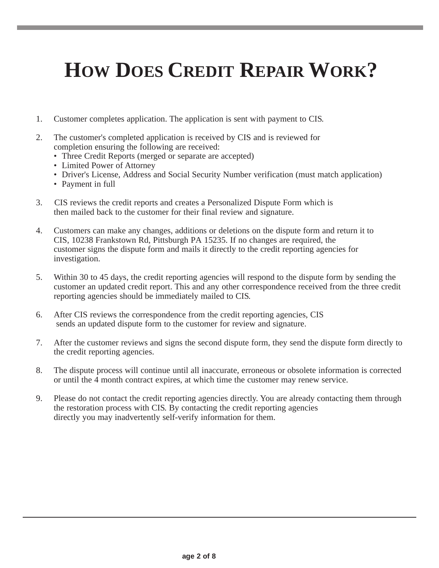## **HOW DOES CREDIT REPAIR WORK?**

- 1. Customer completes application. The application is sent with payment to CIS.
- 2. The customer's completed application is received by CIS and is reviewed for completion ensuring the following are received:
	- Three Credit Reports (merged or separate are accepted)
	- Limited Power of Attorney
	- Driver's License, Address and Social Security Number verification (must match application)
	- Payment in full
- 3. CIS reviews the credit reports and creates a Personalized Dispute Form which is then mailed back to the customer for their final review and signature.
- 4. Customers can make any changes, additions or deletions on the dispute form and return it to CIS, 10238 Frankstown Rd, Pittsburgh PA 15235. If no changes are required, the customer signs the dispute form and mails it directly to the credit reporting agencies for investigation.
- 5. Within 30 to 45 days, the credit reporting agencies will respond to the dispute form by sending the customer an updated credit report. This and any other correspondence received from the three credit reporting agencies should be immediately mailed to CIS.
- 6. After CIS reviews the correspondence from the credit reporting agencies, CIS sends an updated dispute form to the customer for review and signature.
- 7. After the customer reviews and signs the second dispute form, they send the dispute form directly to the credit reporting agencies.
- 8. The dispute process will continue until all inaccurate, erroneous or obsolete information is corrected or until the 4 month contract expires, at which time the customer may renew service.
- 9. Please do not contact the credit reporting agencies directly. You are already contacting them through the restoration process with CIS. By contacting the credit reporting agencies directly you may inadvertently self-verify information for them.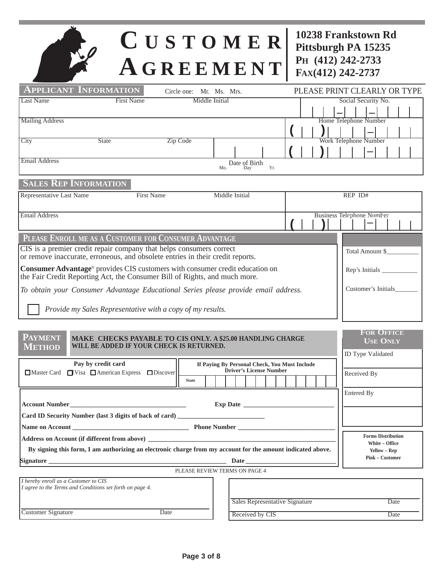## **C USTOMER A GREEMENT**

**10238 Frankstown Rd Pittsburgh PA 15235 PH (412) 242-2733 FAX(412) 242-2737**

| <b>APPLICANT INFORMATION</b>                                                                                                                          | Circle one: Mr. Ms. Mrs.                                                                                  |                             |                                       | PLEASE PRINT CLEARLY OR TYPE     |  |
|-------------------------------------------------------------------------------------------------------------------------------------------------------|-----------------------------------------------------------------------------------------------------------|-----------------------------|---------------------------------------|----------------------------------|--|
| <b>Last Name</b><br><b>First Name</b>                                                                                                                 | Middle Initial                                                                                            |                             |                                       | Social Security No.              |  |
|                                                                                                                                                       |                                                                                                           |                             |                                       |                                  |  |
| <b>Mailing Address</b>                                                                                                                                |                                                                                                           |                             |                                       | Home Telephone Number            |  |
|                                                                                                                                                       |                                                                                                           |                             |                                       |                                  |  |
| City<br><b>State</b>                                                                                                                                  | Zip Code                                                                                                  |                             |                                       | Work Telephone Number            |  |
| <b>Email Address</b>                                                                                                                                  |                                                                                                           |                             |                                       |                                  |  |
|                                                                                                                                                       |                                                                                                           | Date of Birth<br>Mo.<br>Day | Yr.                                   |                                  |  |
| <b>SALES REP INFORMATION</b>                                                                                                                          |                                                                                                           |                             |                                       |                                  |  |
| Representative Last Name<br><b>First Name</b>                                                                                                         |                                                                                                           | Middle Initial              |                                       | REP ID#                          |  |
| <b>Email Address</b>                                                                                                                                  |                                                                                                           |                             |                                       | <b>Business Telephone Number</b> |  |
|                                                                                                                                                       |                                                                                                           |                             |                                       |                                  |  |
| PLEASE ENROLL ME AS A CUSTOMER FOR CONSUMER ADVANTAGE                                                                                                 |                                                                                                           |                             |                                       |                                  |  |
| CIS is a premier credit repair company that helps consumers correct<br>or remove inaccurate, erroneous, and obsolete entries in their credit reports. |                                                                                                           |                             |                                       | Total Amount \$                  |  |
| Consumer Advantage <sup>®</sup> provides CIS customers with consumer credit education on                                                              |                                                                                                           |                             | Rep's Initials                        |                                  |  |
| the Fair Credit Reporting Act, the Consumer Bill of Rights, and much more.                                                                            |                                                                                                           |                             |                                       |                                  |  |
|                                                                                                                                                       | Customer's Initials<br>To obtain your Consumer Advantage Educational Series please provide email address. |                             |                                       |                                  |  |
| Provide my Sales Representative with a copy of my results.                                                                                            |                                                                                                           |                             |                                       |                                  |  |
|                                                                                                                                                       |                                                                                                           |                             |                                       |                                  |  |
| PAYMENT                                                                                                                                               |                                                                                                           |                             |                                       | <b>FOR OFFICE</b>                |  |
| MAKE CHECKS PAYABLE TO CIS ONLY. A \$25.00 HANDLING CHARGE<br><b>USE ONLY</b><br>WILL BE ADDED IF YOUR CHECK IS RETURNED.<br><b>METHOD</b>            |                                                                                                           |                             |                                       |                                  |  |
|                                                                                                                                                       |                                                                                                           |                             |                                       | ID Type Validated                |  |
| Pay by credit card<br>If Paying By Personal Check, You Must Include<br><b>Driver's License Number</b>                                                 |                                                                                                           |                             |                                       |                                  |  |
| □ Master Card □ Visa □ American Express □ Discover                                                                                                    | <b>State</b>                                                                                              |                             |                                       | Received By                      |  |
|                                                                                                                                                       |                                                                                                           |                             |                                       |                                  |  |
| Entered By<br><b>Exp Date</b><br><b>Account Number</b>                                                                                                |                                                                                                           |                             |                                       |                                  |  |
| Card ID Security Number (last 3 digits of back of card) ________________________                                                                      |                                                                                                           |                             |                                       |                                  |  |
|                                                                                                                                                       |                                                                                                           |                             |                                       |                                  |  |
|                                                                                                                                                       |                                                                                                           |                             | <b>Forms Distribution</b>             |                                  |  |
| By signing this form, I am authorizing an electronic charge from my account for the amount indicated above.                                           |                                                                                                           |                             | White - Office<br><b>Yellow – Rep</b> |                                  |  |
| $\bf{Date}$                                                                                                                                           |                                                                                                           |                             |                                       | <b>Pink - Customer</b>           |  |
| PLEASE REVIEW TERMS ON PAGE 4                                                                                                                         |                                                                                                           |                             |                                       |                                  |  |
| I hereby enroll as a Customer to CIS                                                                                                                  |                                                                                                           |                             |                                       |                                  |  |
| I agree to the Terms and Conditions set forth on page 4.                                                                                              |                                                                                                           |                             |                                       |                                  |  |
|                                                                                                                                                       |                                                                                                           |                             | Sales Representative Signature        | Date                             |  |
| <b>Customer Signature</b><br>Date                                                                                                                     |                                                                                                           | Received by CIS             |                                       | Date                             |  |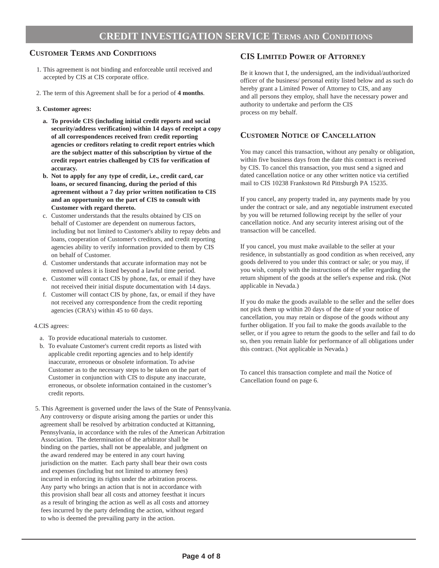#### **CREDIT INVESTIGATION SERVICE TERMS AND CONDITIONS**

#### **CUSTOMER TERMS AND CONDITIONS**

- 1. This agreement is not binding and enforceable until received and accepted by CIS at CIS corporate office.
- 2. The term of this Agreement shall be for a period of **4 months**.

#### **3. Customer agrees:**

- **a. To provide CIS (including initial credit reports and social security/address verification) within 14 days of receipt a copy of all correspondences received fro**m **credit reporting agencies or creditors relating to credit report entries which are the subject matter of this subscription by virtue of the credit report entries challenged by CIS for verification of accuracy.**
- **b. Not to apply for any type of credit, i.e., credit card, car loans, or secured financing, during the period of this agreement without a 7 day prior written notification to CIS and an opportunity on the part of CIS to consult with Customer with regard thereto.**
- c. Customer understands that the results obtained by CIS on behalf of Customer are dependent on numerous factors, including but not limited to Customer's ability to repay debts and loans, cooperation of Customer's creditors, and credit reporting agencies ability to verify information provided to them by CIS on behalf of Customer.
- d. Customer understands that accurate information may not be removed unless it is listed beyond a lawful time period.
- e. Customer will contact CIS by phone, fax, or email if they have not received their initial dispute documentation with 14 days.
- f. Customer will contact CIS by phone, fax, or email if they have not received any correspondence from the credit reporting agencies (CRA's) within 45 to 60 days.

#### 4.CIS agrees:

- a. To provide educational materials to customer.
- b. To evaluate Customer's current credit reports as listed with applicable credit reporting agencies and to help identify inaccurate, erroneous or obsolete information. To advise Customer as to the necessary steps to be taken on the part of Customer in conjunction with CIS to dispute any inaccurate, erroneous, or obsolete information contained in the customer's credit reports.
- 5. This Agreement is governed under the laws of the State of Pennsylvania. Any controversy or dispute arising among the parties or under this agreement shall be resolved by arbitration conducted at Kittanning, Pennsylvania, in accordance with the rules of the American Arbitration Association. The determination of the arbitrator shall be binding on the parties, shall not be appealable, and judgment on the award rendered may be entered in any court having jurisdiction on the matter. Each party shall bear their own costs and expenses (including but not limited to attorney fees) incurred in enforcing its rights under the arbitration process. Any party who brings an action that is not in accordance with this provision shall bear all costs and attorney feesthat it incurs as a result of bringing the action as well as all costs and attorney fees incurred by the party defending the action, without regard to who is deemed the prevailing party in the action.

#### **CIS LIMITED POWER OF ATTORNEY**

Be it known that I, the undersigned, am the individual/authorized officer of the business/ personal entity listed below and as such do hereby grant a Limited Power of Attorney to CIS, and any and all persons they employ, shall have the necessary power and authority to undertake and perform the CIS process on my behalf.

#### **CUSTOMER NOTICE OF CANCELLATION**

You may cancel this transaction, without any penalty or obligation, within five business days from the date this contract is received by CIS. To cancel this transaction, you must send a signed and dated cancellation notice or any other written notice via certified mail to CIS 10238 Frankstown Rd Pittsburgh PA 15235.

If you cancel, any property traded in, any payments made by you under the contract or sale, and any negotiable instrument executed by you will be returned following receipt by the seller of your cancellation notice. And any security interest arising out of the transaction will be cancelled.

If you cancel, you must make available to the seller at your residence, in substantially as good condition as when received, any goods delivered to you under this contract or sale; or you may, if you wish, comply with the instructions of the seller regarding the return shipment of the goods at the seller's expense and risk. (Not applicable in Nevada.)

If you do make the goods available to the seller and the seller does not pick them up within 20 days of the date of your notice of cancellation, you may retain or dispose of the goods without any further obligation. If you fail to make the goods available to the seller, or if you agree to return the goods to the seller and fail to do so, then you remain liable for performance of all obligations under this contract. (Not applicable in Nevada.)

To cancel this transaction complete and mail the Notice of Cancellation found on page 6.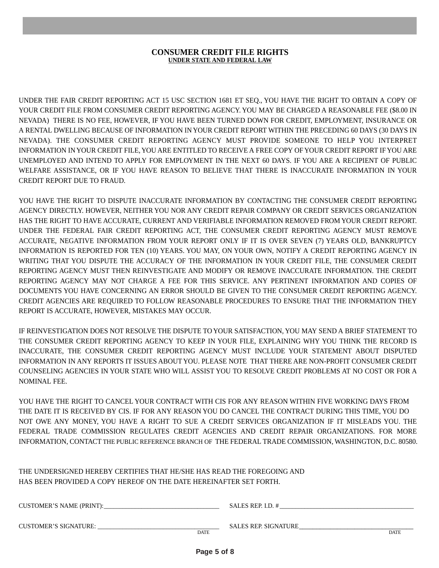#### **CONSUMER CREDIT FILE RIGHTS UNDER STATE AND FEDERAL LAW**

**DISCLOSURE STATEMENT**

UNDER THE FAIR CREDIT REPORTING ACT 15 USC SECTION 1681 ET SEQ., YOU HAVE THE RIGHT TO OBTAIN A COPY OF YOUR CREDIT FILE FROM CONSUMER CREDIT REPORTING AGENCY. YOU MAY BE CHARGED A REASONABLE FEE (\$8.00 IN NEVADA) THERE IS NO FEE, HOWEVER, IF YOU HAVE BEEN TURNED DOWN FOR CREDIT, EMPLOYMENT, INSURANCE OR A RENTAL DWELLING BECAUSE OF INFORMATION IN YOUR CREDIT REPORT WITHIN THE PRECEDING 60 DAYS (30 DAYS IN NEVADA). THE CONSUMER CREDIT REPORTING AGENCY MUST PROVIDE SOMEONE TO HELP YOU INTERPRET INFORMATION IN YOUR CREDIT FILE, YOU ARE ENTITLED TO RECEIVE A FREE COPY OF YOUR CREDIT REPORT IF YOU ARE UNEMPLOYED AND INTEND TO APPLY FOR EMPLOYMENT IN THE NEXT 60 DAYS. IF YOU ARE A RECIPIENT OF PUBLIC WELFARE ASSISTANCE, OR IF YOU HAVE REASON TO BELIEVE THAT THERE IS INACCURATE INFORMATION IN YOUR CREDIT REPORT DUE TO FRAUD.

YOU HAVE THE RIGHT TO DISPUTE INACCURATE INFORMATION BY CONTACTING THE CONSUMER CREDIT REPORTING AGENCY DIRECTLY. HOWEVER, NEITHER YOU NOR ANY CREDIT REPAIR COMPANY OR CREDIT SERVICES ORGANIZATION HAS THE RIGHT TO HAVE ACCURATE, CURRENT AND VERIFIABLE INFORMATION REMOVED FROM YOUR CREDIT REPORT. UNDER THE FEDERAL FAIR CREDIT REPORTING ACT, THE CONSUMER CREDIT REPORTING AGENCY MUST REMOVE ACCURATE, NEGATIVE INFORMATION FROM YOUR REPORT ONLY IF IT IS OVER SEVEN (7) YEARS OLD, BANKRUPTCY INFORMATION IS REPORTED FOR TEN (10) YEARS. YOU MAY, ON YOUR OWN, NOTIFY A CREDIT REPORTING AGENCY IN WRITING THAT YOU DISPUTE THE ACCURACY OF THE INFORMATION IN YOUR CREDIT FILE, THE CONSUMER CREDIT REPORTING AGENCY MUST THEN REINVESTIGATE AND MODIFY OR REMOVE INACCURATE INFORMATION. THE CREDIT REPORTING AGENCY MAY NOT CHARGE A FEE FOR THIS SERVICE. ANY PERTINENT INFORMATION AND COPIES OF DOCUMENTS YOU HAVE CONCERNING AN ERROR SHOULD BE GIVEN TO THE CONSUMER CREDIT REPORTING AGENCY. CREDIT AGENCIES ARE REQUIRED TO FOLLOW REASONABLE PROCEDURES TO ENSURE THAT THE INFORMATION THEY REPORT IS ACCURATE, HOWEVER, MISTAKES MAY OCCUR.

IF REINVESTIGATION DOES NOT RESOLVE THE DISPUTE TO YOUR SATISFACTION, YOU MAY SEND A BRIEF STATEMENT TO THE CONSUMER CREDIT REPORTING AGENCY TO KEEP IN YOUR FILE, EXPLAINING WHY YOU THINK THE RECORD IS INACCURATE, THE CONSUMER CREDIT REPORTING AGENCY MUST INCLUDE YOUR STATEMENT ABOUT DISPUTED INFORMATION IN ANY REPORTS IT ISSUES ABOUT YOU. PLEASE NOTE THAT THERE ARE NON-PROFIT CONSUMER CREDIT COUNSELING AGENCIES IN YOUR STATE WHO WILL ASSIST YOU TO RESOLVE CREDIT PROBLEMS AT NO COST OR FOR A NOMINAL FEE.

YOU HAVE THE RIGHT TO CANCEL YOUR CONTRACT WITH CIS FOR ANY REASON WITHIN FIVE WORKING DAYS FROM THE DATE IT IS RECEIVED BY CIS. IF FOR ANY REASON YOU DO CANCEL THE CONTRACT DURING THIS TIME, YOU DO NOT OWE ANY MONEY, YOU HAVE A RIGHT TO SUE A CREDIT SERVICES ORGANIZATION IF IT MISLEADS YOU. THE FEDERAL TRADE COMMISSION REGULATES CREDIT AGENCIES AND CREDIT REPAIR ORGANIZATIONS. FOR MORE INFORMATION, CONTACT THE PUBLIC REFERENCE BRANCH OF THE FEDERAL TRADE COMMISSION, WASHINGTON, D.C. 80580.

THE UNDERSIGNED HEREBY CERTIFIES THAT HE/SHE HAS READ THE FOREGOING AND HAS BEEN PROVIDED A COPY HEREOF ON THE DATE HEREINAFTER SET FORTH.

| <b>CUSTOMER'S NAME (PRINT):</b> |             | SALES REP. I.D. #           |             |
|---------------------------------|-------------|-----------------------------|-------------|
|                                 |             |                             |             |
| <b>CUSTOMER'S SIGNATURE:</b>    |             | <b>SALES REP. SIGNATURE</b> |             |
|                                 | <b>DATE</b> |                             | <b>DATE</b> |
|                                 |             |                             |             |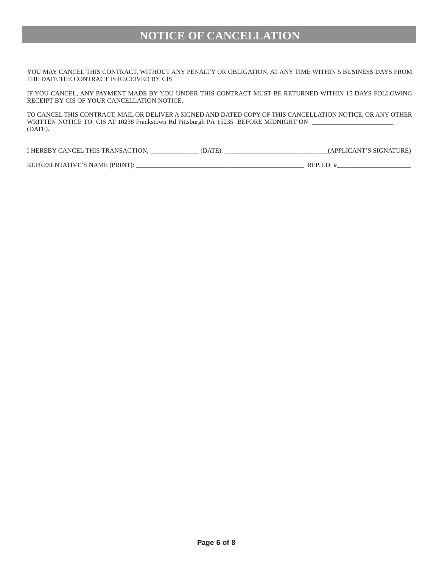### **NOTICE OF CANCELLATION**

YOU MAY CANCEL THIS CONTRACT, WITHOUT ANY PENALTY OR OBLIGATION, AT ANY TIME WITHIN 5 BUSINESS DAYS FROM THE DATE THE CONTRACT IS RECEIVED BY CIS

IF YOU CANCEL, ANY PAYMENT MADE BY YOU UNDER THIS CONTRACT MUST BE RETURNED WITHIN 15 DAYS FOLLOWING RECEIPT BY CIS OF YOUR CANCELLATION NOTICE.

TO CANCEL THIS CONTRACT, MAIL OR DELIVER A SIGNED AND DATED COPY OF THIS CANCELLATION NOTICE, OR ANY OTHER WRITTEN NOTICE TO: CIS AT 10238 Frankstown Rd Pittsburgh PA 15235 BEFORE MIDNIGHT ON \_\_\_\_\_\_\_\_\_\_\_\_\_\_\_\_\_\_\_\_\_\_\_\_\_ (DATE).

I HEREBY CANCEL THIS TRANSACTION, \_\_\_\_\_\_\_\_\_\_\_\_\_\_\_ (DATE). \_\_\_\_\_\_\_\_\_\_\_\_\_\_\_\_\_\_\_\_\_\_\_\_\_\_\_\_\_\_\_\_(APPLICANT'S SIGNATURE)

REPRESENTATIVE'S NAME (PRINT): \_\_\_\_\_\_\_\_\_\_\_\_\_\_\_\_\_\_\_\_\_\_\_\_\_\_\_\_\_\_\_\_\_\_\_\_\_\_\_\_\_\_\_\_\_\_\_\_\_\_\_\_ REP. I.D. #\_\_\_\_\_\_\_\_\_\_\_\_\_\_\_\_\_\_\_\_\_\_\_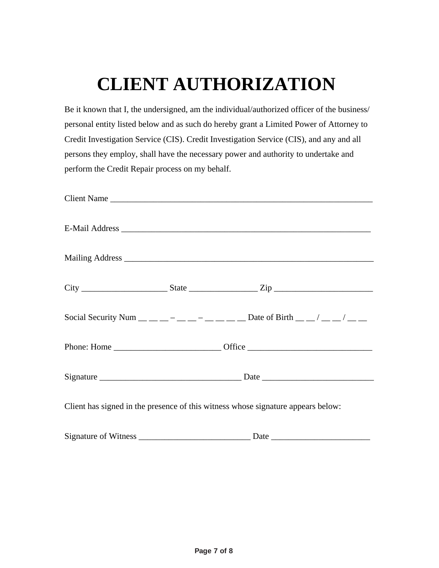## **CLIENT AUTHORIZATION**

Be it known that I, the undersigned, am the individual/authorized officer of the business/ personal entity listed below and as such do hereby grant a Limited Power of Attorney to Credit Investigation Service (CIS). Credit Investigation Service (CIS), and any and all persons they employ, shall have the necessary power and authority to undertake and perform the Credit Repair process on my behalf.

|                                                                                  |  | Client Name                                                                    |  |  |
|----------------------------------------------------------------------------------|--|--------------------------------------------------------------------------------|--|--|
|                                                                                  |  |                                                                                |  |  |
|                                                                                  |  |                                                                                |  |  |
|                                                                                  |  |                                                                                |  |  |
|                                                                                  |  | Social Security Num __ _ _ _ _ _ _ _ _ _ _ _ _ Date of Birth _ _ / _ _ / _ _ _ |  |  |
|                                                                                  |  |                                                                                |  |  |
|                                                                                  |  |                                                                                |  |  |
| Client has signed in the presence of this witness whose signature appears below: |  |                                                                                |  |  |
|                                                                                  |  |                                                                                |  |  |